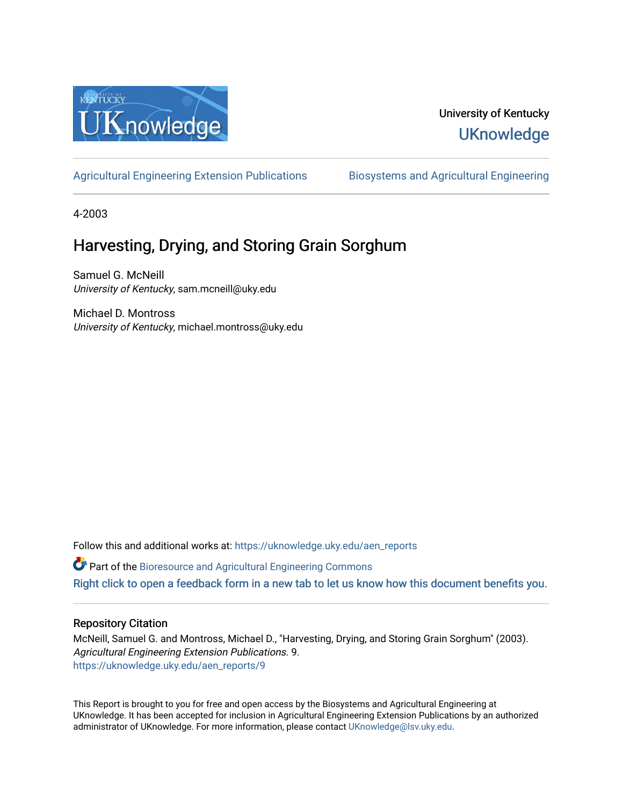

# University of Kentucky **UKnowledge**

[Agricultural Engineering Extension Publications](https://uknowledge.uky.edu/aen_reports) Biosystems and Agricultural Engineering

4-2003

# Harvesting, Drying, and Storing Grain Sorghum

Samuel G. McNeill University of Kentucky, sam.mcneill@uky.edu

Michael D. Montross University of Kentucky, michael.montross@uky.edu

Follow this and additional works at: [https://uknowledge.uky.edu/aen\\_reports](https://uknowledge.uky.edu/aen_reports?utm_source=uknowledge.uky.edu%2Faen_reports%2F9&utm_medium=PDF&utm_campaign=PDFCoverPages)

Part of the [Bioresource and Agricultural Engineering Commons](http://network.bepress.com/hgg/discipline/1056?utm_source=uknowledge.uky.edu%2Faen_reports%2F9&utm_medium=PDF&utm_campaign=PDFCoverPages)

[Right click to open a feedback form in a new tab to let us know how this document benefits you.](https://uky.az1.qualtrics.com/jfe/form/SV_9mq8fx2GnONRfz7)

## Repository Citation

McNeill, Samuel G. and Montross, Michael D., "Harvesting, Drying, and Storing Grain Sorghum" (2003). Agricultural Engineering Extension Publications. 9. [https://uknowledge.uky.edu/aen\\_reports/9](https://uknowledge.uky.edu/aen_reports/9?utm_source=uknowledge.uky.edu%2Faen_reports%2F9&utm_medium=PDF&utm_campaign=PDFCoverPages)

This Report is brought to you for free and open access by the Biosystems and Agricultural Engineering at UKnowledge. It has been accepted for inclusion in Agricultural Engineering Extension Publications by an authorized administrator of UKnowledge. For more information, please contact [UKnowledge@lsv.uky.edu](mailto:UKnowledge@lsv.uky.edu).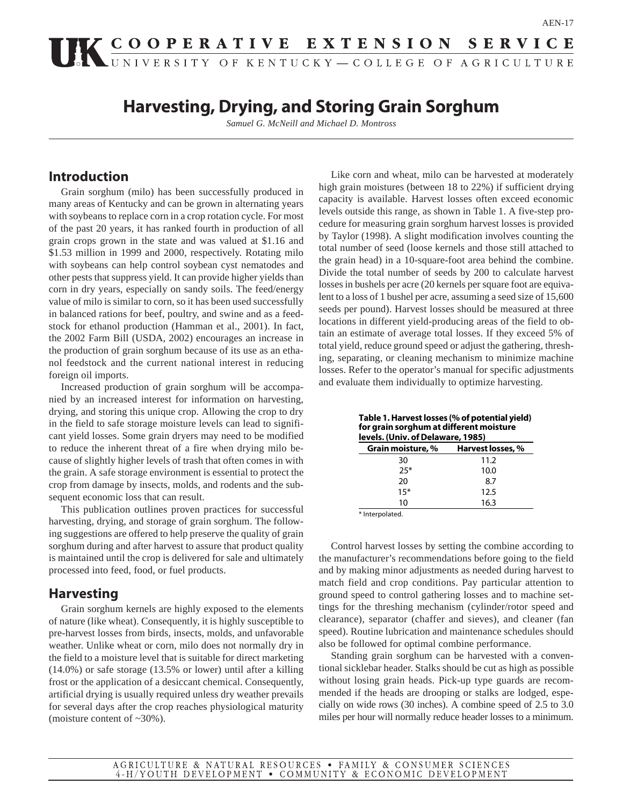# UK COOPERATIVE EXTENSION SERVICE

# **Harvesting, Drying, and Storing Grain Sorghum**

*Samuel G. McNeill and Michael D. Montross*

# **Introduction**

Grain sorghum (milo) has been successfully produced in many areas of Kentucky and can be grown in alternating years with soybeans to replace corn in a crop rotation cycle. For most of the past 20 years, it has ranked fourth in production of all grain crops grown in the state and was valued at \$1.16 and \$1.53 million in 1999 and 2000, respectively. Rotating milo with soybeans can help control soybean cyst nematodes and other pests that suppress yield. It can provide higher yields than corn in dry years, especially on sandy soils. The feed/energy value of milo is similar to corn, so it has been used successfully in balanced rations for beef, poultry, and swine and as a feedstock for ethanol production (Hamman et al., 2001). In fact, the 2002 Farm Bill (USDA, 2002) encourages an increase in the production of grain sorghum because of its use as an ethanol feedstock and the current national interest in reducing foreign oil imports.

Increased production of grain sorghum will be accompanied by an increased interest for information on harvesting, drying, and storing this unique crop. Allowing the crop to dry in the field to safe storage moisture levels can lead to significant yield losses. Some grain dryers may need to be modified to reduce the inherent threat of a fire when drying milo because of slightly higher levels of trash that often comes in with the grain. A safe storage environment is essential to protect the crop from damage by insects, molds, and rodents and the subsequent economic loss that can result.

This publication outlines proven practices for successful harvesting, drying, and storage of grain sorghum. The following suggestions are offered to help preserve the quality of grain sorghum during and after harvest to assure that product quality is maintained until the crop is delivered for sale and ultimately processed into feed, food, or fuel products.

# **Harvesting**

Grain sorghum kernels are highly exposed to the elements of nature (like wheat). Consequently, it is highly susceptible to pre-harvest losses from birds, insects, molds, and unfavorable weather. Unlike wheat or corn, milo does not normally dry in the field to a moisture level that is suitable for direct marketing (14.0%) or safe storage (13.5% or lower) until after a killing frost or the application of a desiccant chemical. Consequently, artificial drying is usually required unless dry weather prevails for several days after the crop reaches physiological maturity (moisture content of ~30%).

Like corn and wheat, milo can be harvested at moderately high grain moistures (between 18 to 22%) if sufficient drying capacity is available. Harvest losses often exceed economic levels outside this range, as shown in Table 1. A five-step procedure for measuring grain sorghum harvest losses is provided by Taylor (1998). A slight modification involves counting the total number of seed (loose kernels and those still attached to the grain head) in a 10-square-foot area behind the combine. Divide the total number of seeds by 200 to calculate harvest losses in bushels per acre (20 kernels per square foot are equivalent to a loss of 1 bushel per acre, assuming a seed size of 15,600 seeds per pound). Harvest losses should be measured at three locations in different yield-producing areas of the field to obtain an estimate of average total losses. If they exceed 5% of total yield, reduce ground speed or adjust the gathering, threshing, separating, or cleaning mechanism to minimize machine losses. Refer to the operator's manual for specific adjustments and evaluate them individually to optimize harvesting.

**Table 1. Harvest losses (% of potential yield) for grain sorghum at different moisture levels. (Univ. of Delaware, 1985)**

| Grain moisture, % | Harvest losses, % |
|-------------------|-------------------|
| 30                | 11.2              |
| $25*$             | 10.0              |
| 20                | 8.7               |
| $15*$             | 12.5              |
| 10                | 16.3              |

\* Interpolated.

Control harvest losses by setting the combine according to the manufacturer's recommendations before going to the field and by making minor adjustments as needed during harvest to match field and crop conditions. Pay particular attention to ground speed to control gathering losses and to machine settings for the threshing mechanism (cylinder/rotor speed and clearance), separator (chaffer and sieves), and cleaner (fan speed). Routine lubrication and maintenance schedules should also be followed for optimal combine performance.

Standing grain sorghum can be harvested with a conventional sicklebar header. Stalks should be cut as high as possible without losing grain heads. Pick-up type guards are recommended if the heads are drooping or stalks are lodged, especially on wide rows (30 inches). A combine speed of 2.5 to 3.0 miles per hour will normally reduce header losses to a minimum.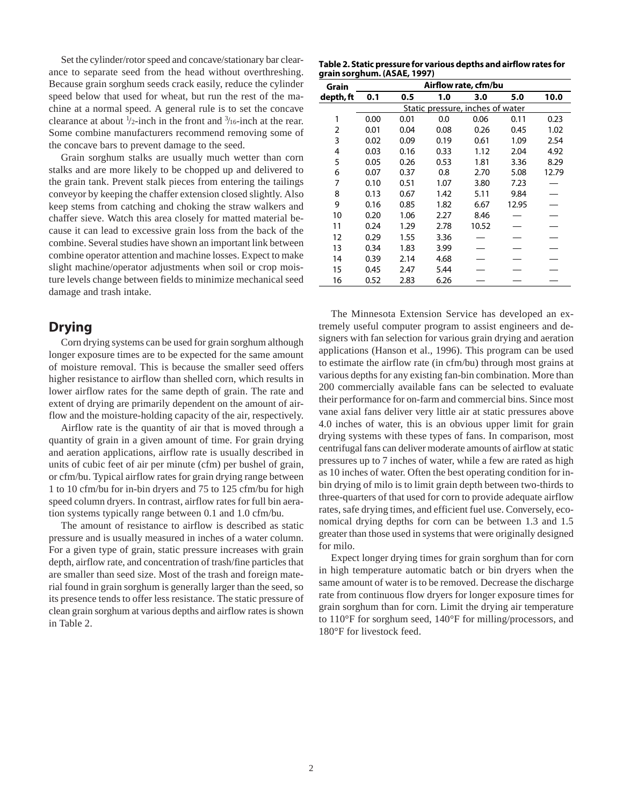Set the cylinder/rotor speed and concave/stationary bar clearance to separate seed from the head without overthreshing. Because grain sorghum seeds crack easily, reduce the cylinder speed below that used for wheat, but run the rest of the machine at a normal speed. A general rule is to set the concave clearance at about  $\frac{1}{2}$ -inch in the front and  $\frac{3}{16}$ -inch at the rear. Some combine manufacturers recommend removing some of the concave bars to prevent damage to the seed.

Grain sorghum stalks are usually much wetter than corn stalks and are more likely to be chopped up and delivered to the grain tank. Prevent stalk pieces from entering the tailings conveyor by keeping the chaffer extension closed slightly. Also keep stems from catching and choking the straw walkers and chaffer sieve. Watch this area closely for matted material because it can lead to excessive grain loss from the back of the combine. Several studies have shown an important link between combine operator attention and machine losses. Expect to make slight machine/operator adjustments when soil or crop moisture levels change between fields to minimize mechanical seed damage and trash intake.

# **Drying**

Corn drying systems can be used for grain sorghum although longer exposure times are to be expected for the same amount of moisture removal. This is because the smaller seed offers higher resistance to airflow than shelled corn, which results in lower airflow rates for the same depth of grain. The rate and extent of drying are primarily dependent on the amount of airflow and the moisture-holding capacity of the air, respectively.

Airflow rate is the quantity of air that is moved through a quantity of grain in a given amount of time. For grain drying and aeration applications, airflow rate is usually described in units of cubic feet of air per minute (cfm) per bushel of grain, or cfm/bu. Typical airflow rates for grain drying range between 1 to 10 cfm/bu for in-bin dryers and 75 to 125 cfm/bu for high speed column dryers. In contrast, airflow rates for full bin aeration systems typically range between 0.1 and 1.0 cfm/bu.

The amount of resistance to airflow is described as static pressure and is usually measured in inches of a water column. For a given type of grain, static pressure increases with grain depth, airflow rate, and concentration of trash/fine particles that are smaller than seed size. Most of the trash and foreign material found in grain sorghum is generally larger than the seed, so its presence tends to offer less resistance. The static pressure of clean grain sorghum at various depths and airflow rates is shown in Table 2.

**Table 2. Static pressure for various depths and airflow rates for grain sorghum. (ASAE, 1997)**

| Grain     | Airflow rate, cfm/bu             |      |      |       |       |       |  |
|-----------|----------------------------------|------|------|-------|-------|-------|--|
| depth, ft | 0.1                              | 0.5  | 1.0  | 3.0   | 5.0   | 10.0  |  |
|           | Static pressure, inches of water |      |      |       |       |       |  |
| 1         | 0.00                             | 0.01 | 0.0  | 0.06  | 0.11  | 0.23  |  |
| 2         | 0.01                             | 0.04 | 0.08 | 0.26  | 0.45  | 1.02  |  |
| 3         | 0.02                             | 0.09 | 0.19 | 0.61  | 1.09  | 2.54  |  |
| 4         | 0.03                             | 0.16 | 0.33 | 1.12  | 2.04  | 4.92  |  |
| 5         | 0.05                             | 0.26 | 0.53 | 1.81  | 3.36  | 8.29  |  |
| 6         | 0.07                             | 0.37 | 0.8  | 2.70  | 5.08  | 12.79 |  |
| 7         | 0.10                             | 0.51 | 1.07 | 3.80  | 7.23  |       |  |
| 8         | 0.13                             | 0.67 | 1.42 | 5.11  | 9.84  |       |  |
| 9         | 0.16                             | 0.85 | 1.82 | 6.67  | 12.95 |       |  |
| 10        | 0.20                             | 1.06 | 2.27 | 8.46  |       |       |  |
| 11        | 0.24                             | 1.29 | 2.78 | 10.52 |       |       |  |
| 12        | 0.29                             | 1.55 | 3.36 |       |       |       |  |
| 13        | 0.34                             | 1.83 | 3.99 |       |       |       |  |
| 14        | 0.39                             | 2.14 | 4.68 |       |       |       |  |
| 15        | 0.45                             | 2.47 | 5.44 |       |       |       |  |
| 16        | 0.52                             | 2.83 | 6.26 |       |       |       |  |

The Minnesota Extension Service has developed an extremely useful computer program to assist engineers and designers with fan selection for various grain drying and aeration applications (Hanson et al., 1996). This program can be used to estimate the airflow rate (in cfm/bu) through most grains at various depths for any existing fan-bin combination. More than 200 commercially available fans can be selected to evaluate their performance for on-farm and commercial bins. Since most vane axial fans deliver very little air at static pressures above 4.0 inches of water, this is an obvious upper limit for grain drying systems with these types of fans. In comparison, most centrifugal fans can deliver moderate amounts of airflow at static pressures up to 7 inches of water, while a few are rated as high as 10 inches of water. Often the best operating condition for inbin drying of milo is to limit grain depth between two-thirds to three-quarters of that used for corn to provide adequate airflow rates, safe drying times, and efficient fuel use. Conversely, economical drying depths for corn can be between 1.3 and 1.5 greater than those used in systems that were originally designed for milo.

Expect longer drying times for grain sorghum than for corn in high temperature automatic batch or bin dryers when the same amount of water is to be removed. Decrease the discharge rate from continuous flow dryers for longer exposure times for grain sorghum than for corn. Limit the drying air temperature to 110°F for sorghum seed, 140°F for milling/processors, and 180°F for livestock feed.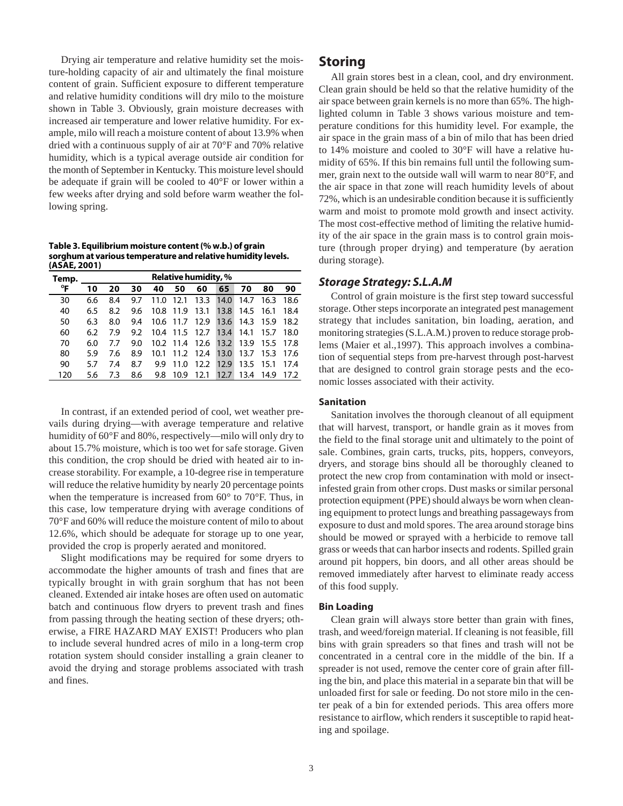Drying air temperature and relative humidity set the moisture-holding capacity of air and ultimately the final moisture content of grain. Sufficient exposure to different temperature and relative humidity conditions will dry milo to the moisture shown in Table 3. Obviously, grain moisture decreases with increased air temperature and lower relative humidity. For example, milo will reach a moisture content of about 13.9% when dried with a continuous supply of air at 70°F and 70% relative humidity, which is a typical average outside air condition for the month of September in Kentucky. This moisture level should be adequate if grain will be cooled to 40°F or lower within a few weeks after drying and sold before warm weather the following spring.

**Table 3. Equilibrium moisture content (% w.b.) of grain sorghum at various temperature and relative humidity levels. (ASAE, 2001)**

| Temp. | <b>Relative humidity, %</b> |     |     |      |           |           |      |      |        |      |
|-------|-----------------------------|-----|-----|------|-----------|-----------|------|------|--------|------|
| °F    | 10                          | 20  | 30  | 40   | 50        | 60        | 65   | 70   | 80     | 90   |
| 30    | 6.6                         | 8.4 | 9.7 | 11.0 | 12.1      | 13.3      | 14.0 | 14.7 | 16.3   | 18.6 |
| 40    | 6.5                         | 8.2 | 9.6 | 10.8 | 11.9      | 13.1      | 13.8 | 14.5 | 16.1   | 18.4 |
| 50    | 6.3                         | 8.0 | 9.4 |      | 10.6 11.7 | 12.9      | 13.6 | 14.3 | - 15.9 | 18.2 |
| 60    | 6.2                         | 7.9 | 9.2 | 10.4 | 11.5      | 12.7      | 13.4 | 14.1 | 15.7   | 18.0 |
| 70    | 6.0                         | 77  | 9.0 |      | 10.2 11.4 | 12.6      | 13.2 | 13.9 | 15.5   | 17 8 |
| 80    | 5.9                         | 7.6 | 8.9 | 10.1 |           | 11.2 12.4 | 13.0 | 13.7 | 15.3   | 17.6 |
| 90    | 5.7                         | 7.4 | 8.7 | 9.9  | 11.0      | 12.2      | 12.9 | 13.5 | 15.1   | 17.4 |
| 120   | 5.6                         | 7.3 | 8.6 | 9.8  | 10.9      | 12.1      | 12.7 | 13.4 | 149    | 17.2 |

In contrast, if an extended period of cool, wet weather prevails during drying—with average temperature and relative humidity of 60°F and 80%, respectively—milo will only dry to about 15.7% moisture, which is too wet for safe storage. Given this condition, the crop should be dried with heated air to increase storability. For example, a 10-degree rise in temperature will reduce the relative humidity by nearly 20 percentage points when the temperature is increased from 60° to 70°F. Thus, in this case, low temperature drying with average conditions of 70°F and 60% will reduce the moisture content of milo to about 12.6%, which should be adequate for storage up to one year, provided the crop is properly aerated and monitored.

Slight modifications may be required for some dryers to accommodate the higher amounts of trash and fines that are typically brought in with grain sorghum that has not been cleaned. Extended air intake hoses are often used on automatic batch and continuous flow dryers to prevent trash and fines from passing through the heating section of these dryers; otherwise, a FIRE HAZARD MAY EXIST! Producers who plan to include several hundred acres of milo in a long-term crop rotation system should consider installing a grain cleaner to avoid the drying and storage problems associated with trash and fines.

## **Storing**

All grain stores best in a clean, cool, and dry environment. Clean grain should be held so that the relative humidity of the air space between grain kernels is no more than 65%. The highlighted column in Table 3 shows various moisture and temperature conditions for this humidity level. For example, the air space in the grain mass of a bin of milo that has been dried to 14% moisture and cooled to 30°F will have a relative humidity of 65%. If this bin remains full until the following summer, grain next to the outside wall will warm to near 80°F, and the air space in that zone will reach humidity levels of about 72%, which is an undesirable condition because it is sufficiently warm and moist to promote mold growth and insect activity. The most cost-effective method of limiting the relative humidity of the air space in the grain mass is to control grain moisture (through proper drying) and temperature (by aeration during storage).

#### *Storage Strategy: S.L.A.M*

Control of grain moisture is the first step toward successful storage. Other steps incorporate an integrated pest management strategy that includes sanitation, bin loading, aeration, and monitoring strategies (S.L.A.M.) proven to reduce storage problems (Maier et al.,1997). This approach involves a combination of sequential steps from pre-harvest through post-harvest that are designed to control grain storage pests and the economic losses associated with their activity.

#### **Sanitation**

Sanitation involves the thorough cleanout of all equipment that will harvest, transport, or handle grain as it moves from the field to the final storage unit and ultimately to the point of sale. Combines, grain carts, trucks, pits, hoppers, conveyors, dryers, and storage bins should all be thoroughly cleaned to protect the new crop from contamination with mold or insectinfested grain from other crops. Dust masks or similar personal protection equipment (PPE) should always be worn when cleaning equipment to protect lungs and breathing passageways from exposure to dust and mold spores. The area around storage bins should be mowed or sprayed with a herbicide to remove tall grass or weeds that can harbor insects and rodents. Spilled grain around pit hoppers, bin doors, and all other areas should be removed immediately after harvest to eliminate ready access of this food supply.

#### **Bin Loading**

Clean grain will always store better than grain with fines, trash, and weed/foreign material. If cleaning is not feasible, fill bins with grain spreaders so that fines and trash will not be concentrated in a central core in the middle of the bin. If a spreader is not used, remove the center core of grain after filling the bin, and place this material in a separate bin that will be unloaded first for sale or feeding. Do not store milo in the center peak of a bin for extended periods. This area offers more resistance to airflow, which renders it susceptible to rapid heating and spoilage.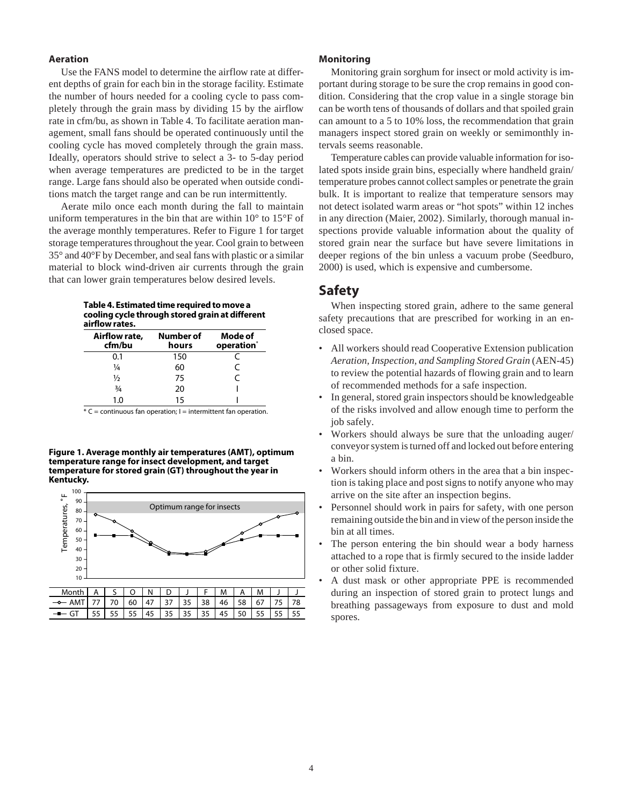#### **Aeration**

Use the FANS model to determine the airflow rate at different depths of grain for each bin in the storage facility. Estimate the number of hours needed for a cooling cycle to pass completely through the grain mass by dividing 15 by the airflow rate in cfm/bu, as shown in Table 4. To facilitate aeration management, small fans should be operated continuously until the cooling cycle has moved completely through the grain mass. Ideally, operators should strive to select a 3- to 5-day period when average temperatures are predicted to be in the target range. Large fans should also be operated when outside conditions match the target range and can be run intermittently.

Aerate milo once each month during the fall to maintain uniform temperatures in the bin that are within 10° to 15°F of the average monthly temperatures. Refer to Figure 1 for target storage temperatures throughout the year. Cool grain to between 35° and 40°F by December, and seal fans with plastic or a similar material to block wind-driven air currents through the grain that can lower grain temperatures below desired levels.

**Table 4. Estimated time required to move a cooling cycle through stored grain at different airflow rates.**

| Airflow rate,<br>cfm/bu | Number of<br>hours | Mode of<br>operation <sup>*</sup> |
|-------------------------|--------------------|-----------------------------------|
| 0.1                     | 150                |                                   |
| 1⁄4                     | 60                 | C                                 |
| ½                       | 75                 | C                                 |
| $\frac{3}{4}$           | 20                 |                                   |
| 1.0                     | 15                 |                                   |

 $*$  C = continuous fan operation; I = intermittent fan operation.

**Figure 1. Average monthly air temperatures (AMT), optimum temperature range for insect development, and target temperature for stored grain (GT) throughout the year in Kentucky.**



#### **Monitoring**

Monitoring grain sorghum for insect or mold activity is important during storage to be sure the crop remains in good condition. Considering that the crop value in a single storage bin can be worth tens of thousands of dollars and that spoiled grain can amount to a 5 to 10% loss, the recommendation that grain managers inspect stored grain on weekly or semimonthly intervals seems reasonable.

Temperature cables can provide valuable information for isolated spots inside grain bins, especially where handheld grain/ temperature probes cannot collect samples or penetrate the grain bulk. It is important to realize that temperature sensors may not detect isolated warm areas or "hot spots" within 12 inches in any direction (Maier, 2002). Similarly, thorough manual inspections provide valuable information about the quality of stored grain near the surface but have severe limitations in deeper regions of the bin unless a vacuum probe (Seedburo, 2000) is used, which is expensive and cumbersome.

## **Safety**

When inspecting stored grain, adhere to the same general safety precautions that are prescribed for working in an enclosed space.

- All workers should read Cooperative Extension publication *Aeration, Inspection, and Sampling Stored Grain* (AEN-45) to review the potential hazards of flowing grain and to learn of recommended methods for a safe inspection.
- In general, stored grain inspectors should be knowledgeable of the risks involved and allow enough time to perform the job safely.
- Workers should always be sure that the unloading auger/ conveyor system is turned off and locked out before entering a bin.
- Workers should inform others in the area that a bin inspection is taking place and post signs to notify anyone who may arrive on the site after an inspection begins.
- Personnel should work in pairs for safety, with one person remaining outside the bin and in view of the person inside the bin at all times.
- The person entering the bin should wear a body harness attached to a rope that is firmly secured to the inside ladder or other solid fixture.
- A dust mask or other appropriate PPE is recommended during an inspection of stored grain to protect lungs and breathing passageways from exposure to dust and mold spores.